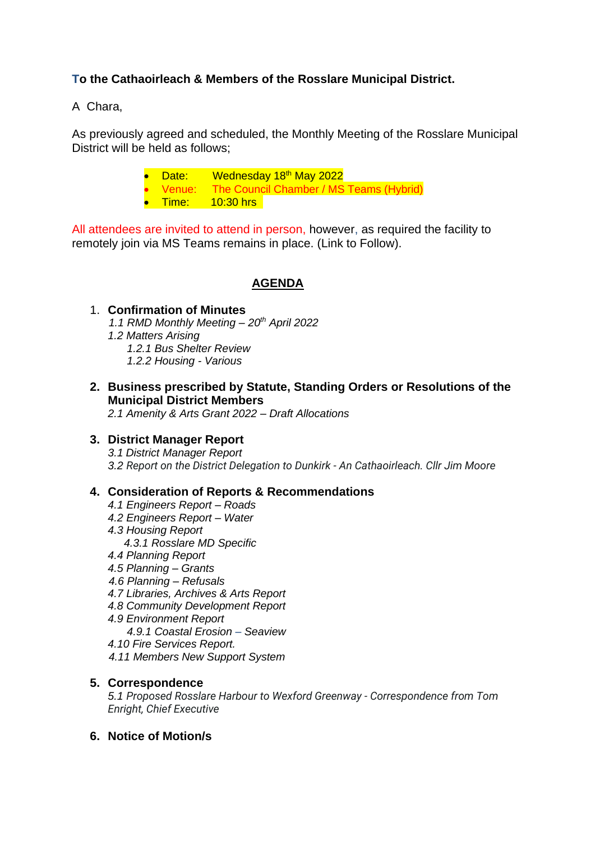## **To the Cathaoirleach & Members of the Rosslare Municipal District.**

A Chara,

As previously agreed and scheduled, the Monthly Meeting of the Rosslare Municipal District will be held as follows;

| $\bullet$ Date: | Wednesday 18 <sup>th</sup> May 2022              |
|-----------------|--------------------------------------------------|
|                 | • Venue: The Council Chamber / MS Teams (Hybrid) |
|                 | $\bullet$ Time: 10:30 hrs                        |

All attendees are invited to attend in person, however, as required the facility to remotely join via MS Teams remains in place. (Link to Follow).

## **AGENDA**

- 1. **Confirmation of Minutes**  *1.1 RMD Monthly Meeting – 20th April 2022*
	- *1.2 Matters Arising*
		- *1.2.1 Bus Shelter Review 1.2.2 Housing - Various*
- **2. Business prescribed by Statute, Standing Orders or Resolutions of the Municipal District Members**

*2.1 Amenity & Arts Grant 2022 – Draft Allocations*

#### **3. District Manager Report**

*3.1 District Manager Report 3.2 Report on the District Delegation to Dunkirk - An Cathaoirleach. Cllr Jim Moore*

#### **4. Consideration of Reports & Recommendations**

- *4.1 Engineers Report – Roads*
- *4.2 Engineers Report – Water*
- *4.3 Housing Report*
	- *4.3.1 Rosslare MD Specific*
- *4.4 Planning Report*
- *4.5 Planning – Grants*
- *4.6 Planning – Refusals*
- *4.7 Libraries, Archives & Arts Report*
- *4.8 Community Development Report*
- *4.9 Environment Report*
	- *4.9.1 Coastal Erosion – Seaview*
- *4.10 Fire Services Report.*
- *4.11 Members New Support System*

### **5. Correspondence**

*5.1 Proposed Rosslare Harbour to Wexford Greenway - Correspondence from Tom Enright, Chief Executive*

**6. Notice of Motion/s**